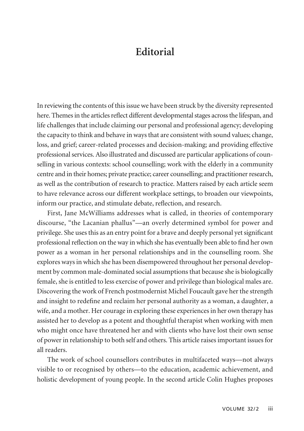## **Editorial**

In reviewing the contents of this issue we have been struck by the diversity represented here. Themes in the articles reflect different developmental stages across the lifespan, and life challenges that include claiming our personal and professional agency; developing the capacity to think and behave in ways that are consistent with sound values; change, loss, and grief; career-related processes and decision-making; and providing effective professional services. Also illustrated and discussed are particular applications of counselling in various contexts: school counselling; work with the elderly in a community centre and in their homes; private practice; career counselling; and practitioner research, as well as the contribution of research to practice. Matters raised by each article seem to have relevance across our different workplace settings, to broaden our viewpoints, inform our practice, and stimulate debate, reflection, and research.

First, Jane McWilliams addresses what is called, in theories of contemporary discourse, "the Lacanian phallus"—an overly determined symbol for power and privilege. She uses this as an entry point for a brave and deeply personal yet significant professional reflection on the way in which she has eventually been able to find her own power as a woman in her personal relationships and in the counselling room. She explores ways in which she has been disempowered throughout her personal develop ment by common male-dominated social assumptions that because she is biologically female, she is entitled to less exercise of power and privilege than biological males are. Discovering the work of French postmodernist Michel Foucault gave her the strength and insight to redefine and reclaim her personal authority as a woman, a daughter, a wife, and a mother. Her courage in exploring these experiences in her own therapy has assisted her to develop as a potent and thoughtful therapist when working with men who might once have threatened her and with clients who have lost their own sense of power in relationship to both self and others. This article raises important issues for all readers.

The work of school counsellors contributes in multifaceted ways—not always visible to or recognised by others—to the education, academic achievement, and holistic development of young people. In the second article Colin Hughes proposes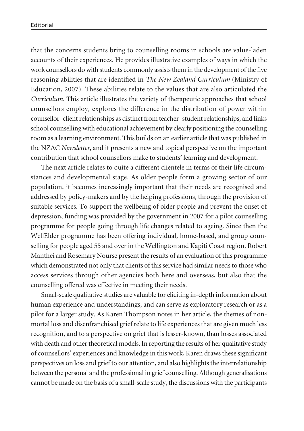that the concerns students bring to counselling rooms in schools are value-laden accounts of their experiences. He provides illustrative examples of ways in which the work counsellors do with students commonly assists them in the development of the five reasoning abilities that are identified in *The New Zealand Curriculum* (Ministry of Education, 2007). These abilities relate to the values that are also articulated the *Curriculum*. This article illustrates the variety of therapeutic approaches that school counsellors employ, explores the difference in the distribution of power within counsellor–client relationships as distinct from teacher–student relationships, and links school counselling with educational achievement by clearly positioning the counselling room as a learning environment. This builds on an earlier article that was published in the NZAC *Newsletter*, and it presents a new and topical perspective on the important contribution that school counsellors make to students' learning and development.

The next article relates to quite a different clientele in terms of their life circumstances and developmental stage. As older people form a growing sector of our population, it becomes increasingly important that their needs are recognised and addressed by policy-makers and by the helping professions, through the provision of suitable services. To support the wellbeing of older people and prevent the onset of depression, funding was provided by the government in 2007 for a pilot counselling programme for people going through life changes related to ageing. Since then the WellElder programme has been offering individual, home-based, and group counselling for people aged 55 and over in the Wellington and Kapiti Coast region. Robert Manthei and Rosemary Nourse present the results of an evaluation of this programme which demonstrated not only that clients of this service had similar needs to those who access services through other agencies both here and overseas, but also that the counselling offered was effective in meeting their needs.

Small-scale qualitative studies are valuable for eliciting in-depth information about human experience and understandings, and can serve as exploratory research or as a pilot for a larger study. As Karen Thompson notes in her article, the themes of nonmortal loss and disenfranchised grief relate to life experiences that are given much less recognition, and to a perspective on grief that is lesser-known, than losses associated with death and other theoretical models. In reporting the results of her qualitative study of counsellors' experiences and knowledge in this work, Karen draws these significant perspectives on loss and grief to our attention, and also highlights the interrelationship between the personal and the professional in grief counselling. Although generalisations cannot be made on the basis of a small-scale study, the discussions with the participants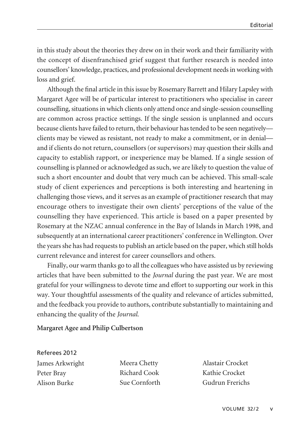in this study about the theories they drew on in their work and their familiarity with the concept of disenfranchised grief suggest that further research is needed into counsellors' knowledge, practices, and professional development needs in working with loss and grief.

Although the final article in this issue by Rosemary Barrett and Hilary Lapsley with Margaret Agee will be of particular interest to practitioners who specialise in career counselling, situations in which clients only attend once and single-session counselling are common across practice settings. If the single session is unplanned and occurs because clients have failed to return, their behaviour has tended to be seen negatively clients may be viewed as resistant, not ready to make a commitment, or in denial and if clients do not return, counsellors (or supervisors) may question their skills and capacity to establish rapport, or inexperience may be blamed. If a single session of counselling is planned or acknowledged as such, we are likely to question the value of such a short encounter and doubt that very much can be achieved. This small-scale study of client experiences and perceptions is both interesting and heartening in challenging those views, and it serves as an example of practitioner research that may encourage others to investigate their own clients' perceptions of the value of the counselling they have experienced. This article is based on a paper presented by Rosemary at the NZAC annual conference in the Bay of Islands in March 1998, and subsequently at an international career practitioners' conference in Wellington. Over the years she has had requests to publish an article based on the paper, which still holds current relevance and interest for career counsellors and others.

Finally, our warm thanks go to all the colleagues who have assisted us by reviewing articles that have been submitted to the *Journal* during the past year. We are most grateful for your willingness to devote time and effort to supporting our work in this way. Your thoughtful assessments of the quality and relevance of articles submitted, and the feedback you provide to authors, contribute substantially to maintaining and enhancing the quality of the *Journal*.

## **Margaret Agee and Philip Culbertson**

## Referees 2012

James Arkwright Peter Bray Alison Burke

Meera Chetty Richard Cook Sue Cornforth Alastair Crocket Kathie Crocket Gudrun Frerichs